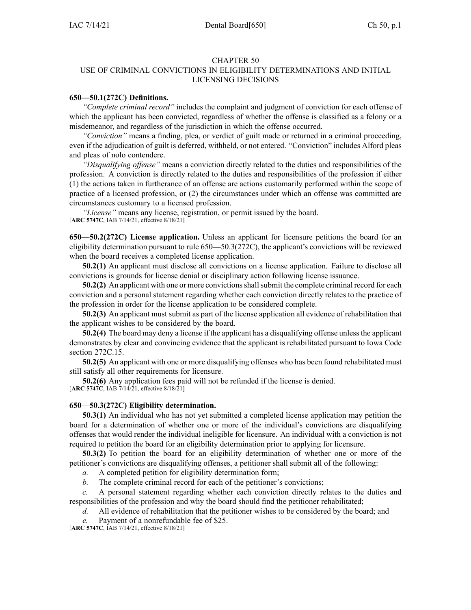## CHAPTER 50

## USE OF CRIMINAL CONVICTIONS IN ELIGIBILITY DETERMINATIONS AND INITIAL LICENSING DECISIONS

## **650—50.1(272C) Definitions.**

*"Complete criminal record"* includes the complaint and judgment of conviction for each offense of which the applicant has been convicted, regardless of whether the offense is classified as <sup>a</sup> felony or <sup>a</sup> misdemeanor, and regardless of the jurisdiction in which the offense occurred.

*"Conviction"* means <sup>a</sup> finding, plea, or verdict of guilt made or returned in <sup>a</sup> criminal proceeding, even if the adjudication of guilt is deferred, withheld, or not entered. "Conviction" includes Alford pleas and pleas of nolo contendere.

*"Disqualifying offense"* means <sup>a</sup> conviction directly related to the duties and responsibilities of the profession. A conviction is directly related to the duties and responsibilities of the profession if either (1) the actions taken in furtherance of an offense are actions customarily performed within the scope of practice of <sup>a</sup> licensed profession, or (2) the circumstances under which an offense was committed are circumstances customary to <sup>a</sup> licensed profession.

*"License"* means any license, registration, or permit issued by the board. [**ARC [5747C](https://www.legis.iowa.gov/docs/aco/arc/5747C.pdf)**, IAB 7/14/21, effective 8/18/21]

**650—50.2(272C) License application.** Unless an applicant for licensure petitions the board for an eligibility determination pursuan<sup>t</sup> to rule [650—50.3](https://www.legis.iowa.gov/docs/iac/rule/650.50.3.pdf)(272C), the applicant's convictions will be reviewed when the board receives <sup>a</sup> completed license application.

**50.2(1)** An applicant must disclose all convictions on <sup>a</sup> license application. Failure to disclose all convictions is grounds for license denial or disciplinary action following license issuance.

**50.2(2)** An applicant with one or more convictions shall submit the complete criminal record for each conviction and <sup>a</sup> personal statement regarding whether each conviction directly relates to the practice of the profession in order for the license application to be considered complete.

**50.2(3)** An applicant must submit as par<sup>t</sup> of the license application all evidence of rehabilitation that the applicant wishes to be considered by the board.

**50.2(4)** The board may deny <sup>a</sup> license if the applicant has <sup>a</sup> disqualifying offense unlessthe applicant demonstrates by clear and convincing evidence that the applicant is rehabilitated pursuan<sup>t</sup> to Iowa Code section [272C.15](https://www.legis.iowa.gov/docs/ico/section/272C.15.pdf).

**50.2(5)** An applicant with one or more disqualifying offenses who has been found rehabilitated must still satisfy all other requirements for licensure.

**50.2(6)** Any application fees paid will not be refunded if the license is denied. [**ARC [5747C](https://www.legis.iowa.gov/docs/aco/arc/5747C.pdf)**, IAB 7/14/21, effective 8/18/21]

## **650—50.3(272C) Eligibility determination.**

**50.3(1)** An individual who has not ye<sup>t</sup> submitted <sup>a</sup> completed license application may petition the board for <sup>a</sup> determination of whether one or more of the individual's convictions are disqualifying offenses that would render the individual ineligible for licensure. An individual with <sup>a</sup> conviction is not required to petition the board for an eligibility determination prior to applying for licensure.

**50.3(2)** To petition the board for an eligibility determination of whether one or more of the petitioner's convictions are disqualifying offenses, <sup>a</sup> petitioner shall submit all of the following:

- *a.* A completed petition for eligibility determination form;
- *b.* The complete criminal record for each of the petitioner's convictions;

*c.* A personal statement regarding whether each conviction directly relates to the duties and responsibilities of the profession and why the board should find the petitioner rehabilitated;

- *d.* All evidence of rehabilitation that the petitioner wishes to be considered by the board; and
- *e.* Payment of <sup>a</sup> nonrefundable fee of \$25.

[**ARC [5747C](https://www.legis.iowa.gov/docs/aco/arc/5747C.pdf)**, IAB 7/14/21, effective 8/18/21]